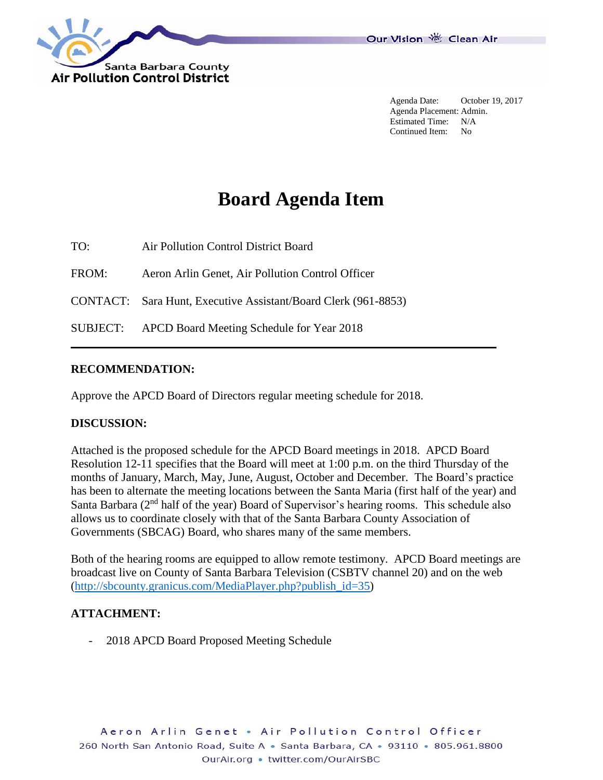

Agenda Date: October 19, 2017 Agenda Placement: Admin. Estimated Time: N/A Continued Item: No

# **Board Agenda Item**

TO: Air Pollution Control District Board

FROM: Aeron Arlin Genet, Air Pollution Control Officer

CONTACT: Sara Hunt, Executive Assistant/Board Clerk (961-8853)

SUBJECT: APCD Board Meeting Schedule for Year 2018

#### **RECOMMENDATION:**

Approve the APCD Board of Directors regular meeting schedule for 2018.

#### **DISCUSSION:**

Attached is the proposed schedule for the APCD Board meetings in 2018. APCD Board Resolution 12-11 specifies that the Board will meet at 1:00 p.m. on the third Thursday of the months of January, March, May, June, August, October and December. The Board's practice has been to alternate the meeting locations between the Santa Maria (first half of the year) and Santa Barbara (2<sup>nd</sup> half of the year) Board of Supervisor's hearing rooms. This schedule also allows us to coordinate closely with that of the Santa Barbara County Association of Governments (SBCAG) Board, who shares many of the same members.

Both of the hearing rooms are equipped to allow remote testimony. APCD Board meetings are broadcast live on County of Santa Barbara Television (CSBTV channel 20) and on the web [\(http://sbcounty.granicus.com/MediaPlayer.php?publish\\_id=35\)](http://sbcounty.granicus.com/MediaPlayer.php?publish_id=35)

#### **ATTACHMENT:**

2018 APCD Board Proposed Meeting Schedule